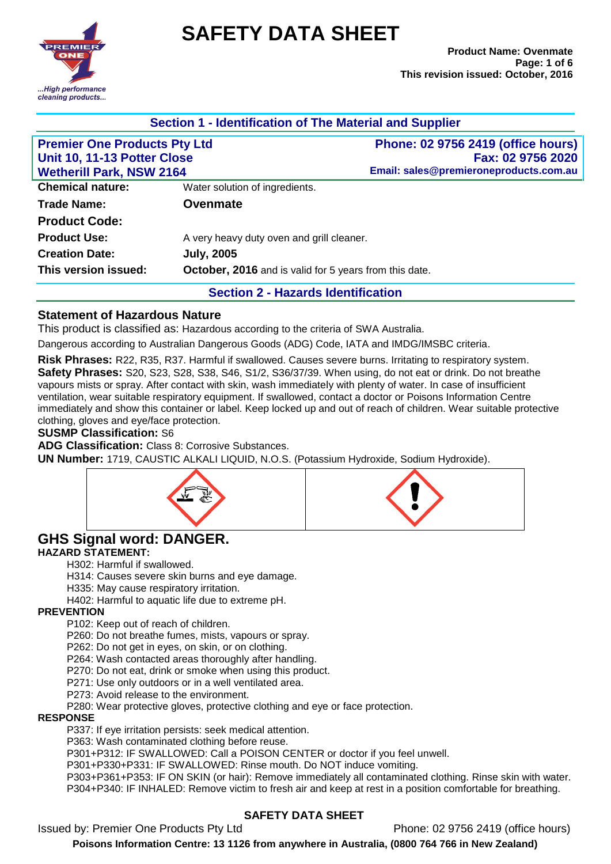

# **SAFETY DATA SHEET**

| Section 1 - Identification of The Material and Supplier                                               |                                                        |                                                                                                          |  |  |
|-------------------------------------------------------------------------------------------------------|--------------------------------------------------------|----------------------------------------------------------------------------------------------------------|--|--|
| <b>Premier One Products Pty Ltd</b><br>Unit 10, 11-13 Potter Close<br><b>Wetherill Park, NSW 2164</b> |                                                        | <b>Phone: 02 9756 2419 (office hours)</b><br>Fax: 02 9756 2020<br>Email: sales@premieroneproducts.com.au |  |  |
| <b>Chemical nature:</b>                                                                               | Water solution of ingredients.                         |                                                                                                          |  |  |
| <b>Trade Name:</b>                                                                                    | <b>Ovenmate</b>                                        |                                                                                                          |  |  |
| <b>Product Code:</b>                                                                                  |                                                        |                                                                                                          |  |  |
| <b>Product Use:</b>                                                                                   | A very heavy duty oven and grill cleaner.              |                                                                                                          |  |  |
| <b>Creation Date:</b>                                                                                 | <b>July, 2005</b>                                      |                                                                                                          |  |  |
| This version issued:                                                                                  | October, 2016 and is valid for 5 years from this date. |                                                                                                          |  |  |
|                                                                                                       | <b>Section 2 - Hazards Identification</b>              |                                                                                                          |  |  |

# **Statement of Hazardous Nature**

This product is classified as: Hazardous according to the criteria of SWA Australia.

Dangerous according to Australian Dangerous Goods (ADG) Code, IATA and IMDG/IMSBC criteria.

**Risk Phrases:** R22, R35, R37. Harmful if swallowed. Causes severe burns. Irritating to respiratory system. **Safety Phrases:** S20, S23, S28, S38, S46, S1/2, S36/37/39. When using, do not eat or drink. Do not breathe vapours mists or spray. After contact with skin, wash immediately with plenty of water. In case of insufficient ventilation, wear suitable respiratory equipment. If swallowed, contact a doctor or Poisons Information Centre immediately and show this container or label. Keep locked up and out of reach of children. Wear suitable protective clothing, gloves and eye/face protection.

#### **SUSMP Classification:** S6

**ADG Classification:** Class 8: Corrosive Substances.

**UN Number:** 1719, CAUSTIC ALKALI LIQUID, N.O.S. (Potassium Hydroxide, Sodium Hydroxide).





# **GHS Signal word: DANGER. HAZARD STATEMENT:**

H302: Harmful if swallowed.

H314: Causes severe skin burns and eye damage.

H335: May cause respiratory irritation.

H402: Harmful to aquatic life due to extreme pH.

#### **PREVENTION**

P102: Keep out of reach of children.

P260: Do not breathe fumes, mists, vapours or spray.

P262: Do not get in eyes, on skin, or on clothing.

P264: Wash contacted areas thoroughly after handling.

P270: Do not eat, drink or smoke when using this product.

P271: Use only outdoors or in a well ventilated area.

P273: Avoid release to the environment.

P280: Wear protective gloves, protective clothing and eye or face protection.

#### **RESPONSE**

P337: If eye irritation persists: seek medical attention.

P363: Wash contaminated clothing before reuse.

P301+P312: IF SWALLOWED: Call a POISON CENTER or doctor if you feel unwell.

P301+P330+P331: IF SWALLOWED: Rinse mouth. Do NOT induce vomiting.

P303+P361+P353: IF ON SKIN (or hair): Remove immediately all contaminated clothing. Rinse skin with water. P304+P340: IF INHALED: Remove victim to fresh air and keep at rest in a position comfortable for breathing.

#### **SAFETY DATA SHEET**

Issued by: Premier One Products Pty Ltd Phone: 02 9756 2419 (office hours)

**Poisons Information Centre: 13 1126 from anywhere in Australia, (0800 764 766 in New Zealand)**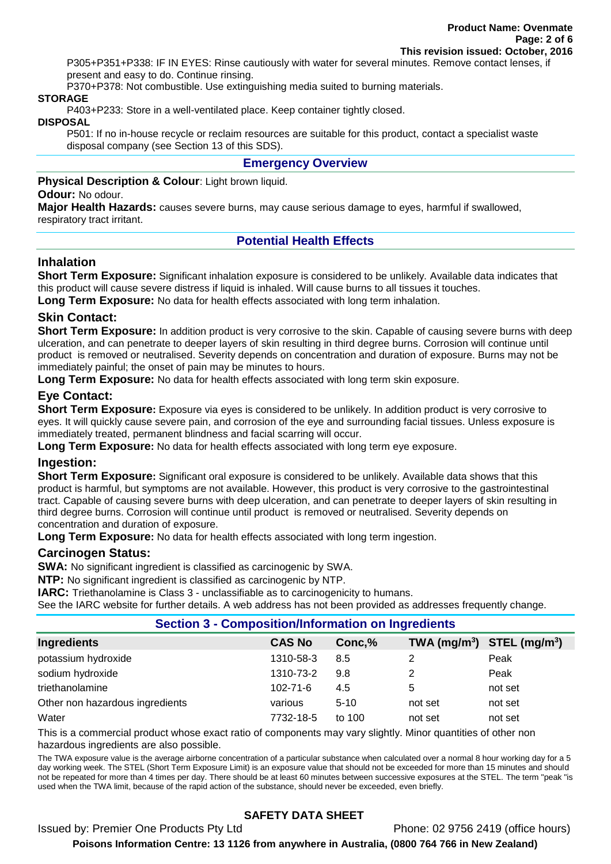P305+P351+P338: IF IN EYES: Rinse cautiously with water for several minutes. Remove contact lenses, if present and easy to do. Continue rinsing.

P370+P378: Not combustible. Use extinguishing media suited to burning materials.

#### **STORAGE**

P403+P233: Store in a well-ventilated place. Keep container tightly closed.

#### **DISPOSAL**

P501: If no in-house recycle or reclaim resources are suitable for this product, contact a specialist waste disposal company (see Section 13 of this SDS).

#### **Emergency Overview**

**Physical Description & Colour**: Light brown liquid.

#### **Odour:** No odour.

**Major Health Hazards:** causes severe burns, may cause serious damage to eyes, harmful if swallowed, respiratory tract irritant.

# **Potential Health Effects**

#### **Inhalation**

**Short Term Exposure:** Significant inhalation exposure is considered to be unlikely. Available data indicates that this product will cause severe distress if liquid is inhaled. Will cause burns to all tissues it touches.

**Long Term Exposure:** No data for health effects associated with long term inhalation.

#### **Skin Contact:**

**Short Term Exposure:** In addition product is very corrosive to the skin. Capable of causing severe burns with deep ulceration, and can penetrate to deeper layers of skin resulting in third degree burns. Corrosion will continue until product is removed or neutralised. Severity depends on concentration and duration of exposure. Burns may not be immediately painful; the onset of pain may be minutes to hours.

**Long Term Exposure:** No data for health effects associated with long term skin exposure.

# **Eye Contact:**

**Short Term Exposure:** Exposure via eyes is considered to be unlikely. In addition product is very corrosive to eyes. It will quickly cause severe pain, and corrosion of the eye and surrounding facial tissues. Unless exposure is immediately treated, permanent blindness and facial scarring will occur.

**Long Term Exposure:** No data for health effects associated with long term eye exposure.

#### **Ingestion:**

**Short Term Exposure:** Significant oral exposure is considered to be unlikely. Available data shows that this product is harmful, but symptoms are not available. However, this product is very corrosive to the gastrointestinal tract. Capable of causing severe burns with deep ulceration, and can penetrate to deeper layers of skin resulting in third degree burns. Corrosion will continue until product is removed or neutralised. Severity depends on concentration and duration of exposure.

**Long Term Exposure:** No data for health effects associated with long term ingestion.

#### **Carcinogen Status:**

**SWA:** No significant ingredient is classified as carcinogenic by SWA.

**NTP:** No significant ingredient is classified as carcinogenic by NTP.

**IARC:** Triethanolamine is Class 3 - unclassifiable as to carcinogenicity to humans.

See the IARC website for further details. A web address has not been provided as addresses frequently change.

#### **Section 3 - Composition/Information on Ingredients**

| Ingredients                     | <b>CAS No</b>  | Conc,%   | TWA $(mg/m^3)$ STEL $(mg/m^3)$ |         |
|---------------------------------|----------------|----------|--------------------------------|---------|
| potassium hydroxide             | 1310-58-3      | 8.5      |                                | Peak    |
| sodium hydroxide                | 1310-73-2      | 9.8      | 2                              | Peak    |
| triethanolamine                 | $102 - 71 - 6$ | 4.5      | 5                              | not set |
| Other non hazardous ingredients | various        | $5 - 10$ | not set                        | not set |
| Water                           | 7732-18-5      | to 100   | not set                        | not set |

This is a commercial product whose exact ratio of components may vary slightly. Minor quantities of other non hazardous ingredients are also possible.

The TWA exposure value is the average airborne concentration of a particular substance when calculated over a normal 8 hour working day for a 5 day working week. The STEL (Short Term Exposure Limit) is an exposure value that should not be exceeded for more than 15 minutes and should not be repeated for more than 4 times per day. There should be at least 60 minutes between successive exposures at the STEL. The term "peak "is used when the TWA limit, because of the rapid action of the substance, should never be exceeded, even briefly.

# **SAFETY DATA SHEET**

Issued by: Premier One Products Pty Ltd Phone: 02 9756 2419 (office hours) **Poisons Information Centre: 13 1126 from anywhere in Australia, (0800 764 766 in New Zealand)**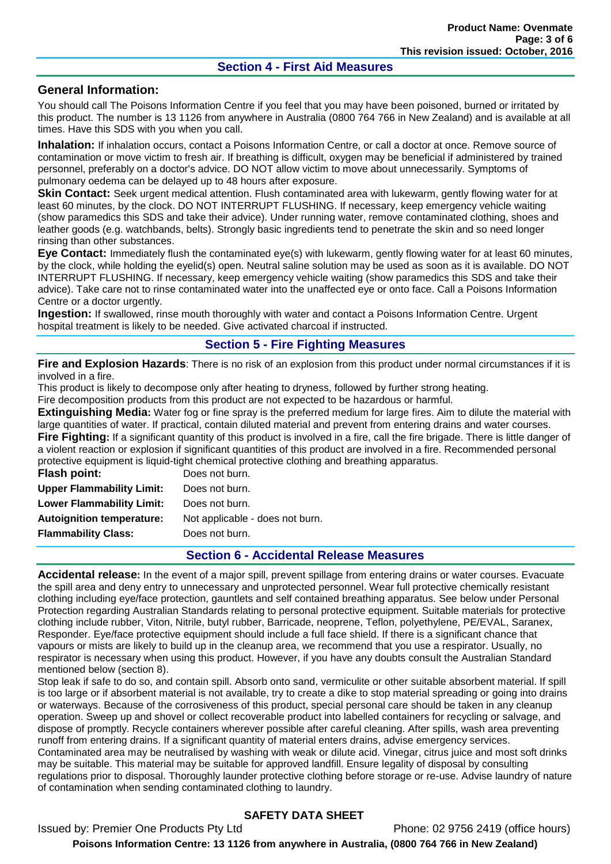#### **Section 4 - First Aid Measures**

#### **General Information:**

You should call The Poisons Information Centre if you feel that you may have been poisoned, burned or irritated by this product. The number is 13 1126 from anywhere in Australia (0800 764 766 in New Zealand) and is available at all times. Have this SDS with you when you call.

**Inhalation:** If inhalation occurs, contact a Poisons Information Centre, or call a doctor at once. Remove source of contamination or move victim to fresh air. If breathing is difficult, oxygen may be beneficial if administered by trained personnel, preferably on a doctor's advice. DO NOT allow victim to move about unnecessarily. Symptoms of pulmonary oedema can be delayed up to 48 hours after exposure.

**Skin Contact:** Seek urgent medical attention. Flush contaminated area with lukewarm, gently flowing water for at least 60 minutes, by the clock. DO NOT INTERRUPT FLUSHING. If necessary, keep emergency vehicle waiting (show paramedics this SDS and take their advice). Under running water, remove contaminated clothing, shoes and leather goods (e.g. watchbands, belts). Strongly basic ingredients tend to penetrate the skin and so need longer rinsing than other substances.

**Eye Contact:** Immediately flush the contaminated eye(s) with lukewarm, gently flowing water for at least 60 minutes, by the clock, while holding the eyelid(s) open. Neutral saline solution may be used as soon as it is available. DO NOT INTERRUPT FLUSHING. If necessary, keep emergency vehicle waiting (show paramedics this SDS and take their advice). Take care not to rinse contaminated water into the unaffected eye or onto face. Call a Poisons Information Centre or a doctor urgently.

**Ingestion:** If swallowed, rinse mouth thoroughly with water and contact a Poisons Information Centre. Urgent hospital treatment is likely to be needed. Give activated charcoal if instructed.

# **Section 5 - Fire Fighting Measures**

**Fire and Explosion Hazards**: There is no risk of an explosion from this product under normal circumstances if it is involved in a fire.

This product is likely to decompose only after heating to dryness, followed by further strong heating.

Fire decomposition products from this product are not expected to be hazardous or harmful.

**Extinguishing Media:** Water fog or fine spray is the preferred medium for large fires. Aim to dilute the material with large quantities of water. If practical, contain diluted material and prevent from entering drains and water courses. **Fire Fighting:** If a significant quantity of this product is involved in a fire, call the fire brigade. There is little danger of a violent reaction or explosion if significant quantities of this product are involved in a fire. Recommended personal protective equipment is liquid-tight chemical protective clothing and breathing apparatus.

| Flash point:                     | Does not burn.                  |
|----------------------------------|---------------------------------|
| <b>Upper Flammability Limit:</b> | Does not burn.                  |
| <b>Lower Flammability Limit:</b> | Does not burn.                  |
| <b>Autoignition temperature:</b> | Not applicable - does not burn. |
| <b>Flammability Class:</b>       | Does not burn.                  |
|                                  |                                 |

#### **Section 6 - Accidental Release Measures**

**Accidental release:** In the event of a major spill, prevent spillage from entering drains or water courses. Evacuate the spill area and deny entry to unnecessary and unprotected personnel. Wear full protective chemically resistant clothing including eye/face protection, gauntlets and self contained breathing apparatus. See below under Personal Protection regarding Australian Standards relating to personal protective equipment. Suitable materials for protective clothing include rubber, Viton, Nitrile, butyl rubber, Barricade, neoprene, Teflon, polyethylene, PE/EVAL, Saranex, Responder. Eye/face protective equipment should include a full face shield. If there is a significant chance that vapours or mists are likely to build up in the cleanup area, we recommend that you use a respirator. Usually, no respirator is necessary when using this product. However, if you have any doubts consult the Australian Standard mentioned below (section 8).

Stop leak if safe to do so, and contain spill. Absorb onto sand, vermiculite or other suitable absorbent material. If spill is too large or if absorbent material is not available, try to create a dike to stop material spreading or going into drains or waterways. Because of the corrosiveness of this product, special personal care should be taken in any cleanup operation. Sweep up and shovel or collect recoverable product into labelled containers for recycling or salvage, and dispose of promptly. Recycle containers wherever possible after careful cleaning. After spills, wash area preventing runoff from entering drains. If a significant quantity of material enters drains, advise emergency services. Contaminated area may be neutralised by washing with weak or dilute acid. Vinegar, citrus juice and most soft drinks may be suitable. This material may be suitable for approved landfill. Ensure legality of disposal by consulting regulations prior to disposal. Thoroughly launder protective clothing before storage or re-use. Advise laundry of nature of contamination when sending contaminated clothing to laundry.

# **SAFETY DATA SHEET**

Issued by: Premier One Products Pty Ltd Phone: 02 9756 2419 (office hours) **Poisons Information Centre: 13 1126 from anywhere in Australia, (0800 764 766 in New Zealand)**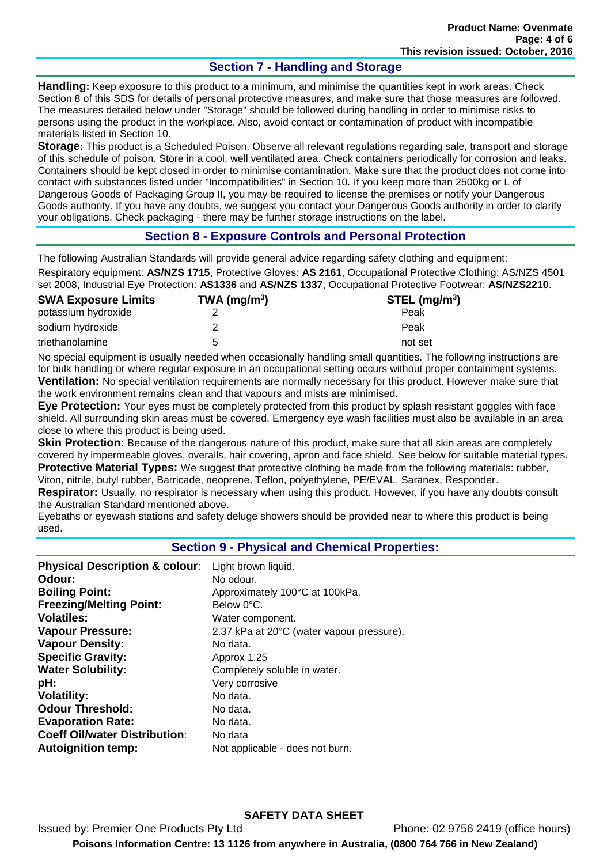# **Section 7 - Handling and Storage**

**Handling:** Keep exposure to this product to a minimum, and minimise the quantities kept in work areas. Check Section 8 of this SDS for details of personal protective measures, and make sure that those measures are followed. The measures detailed below under "Storage" should be followed during handling in order to minimise risks to persons using the product in the workplace. Also, avoid contact or contamination of product with incompatible materials listed in Section 10.

**Storage:** This product is a Scheduled Poison. Observe all relevant regulations regarding sale, transport and storage of this schedule of poison. Store in a cool, well ventilated area. Check containers periodically for corrosion and leaks. Containers should be kept closed in order to minimise contamination. Make sure that the product does not come into contact with substances listed under "Incompatibilities" in Section 10. If you keep more than 2500kg or L of Dangerous Goods of Packaging Group II, you may be required to license the premises or notify your Dangerous Goods authority. If you have any doubts, we suggest you contact your Dangerous Goods authority in order to clarify your obligations. Check packaging - there may be further storage instructions on the label.

#### **Section 8 - Exposure Controls and Personal Protection**

The following Australian Standards will provide general advice regarding safety clothing and equipment: Respiratory equipment: **AS/NZS 1715**, Protective Gloves: **AS 2161**, Occupational Protective Clothing: AS/NZS 4501 set 2008, Industrial Eye Protection: **AS1336** and **AS/NZS 1337**, Occupational Protective Footwear: **AS/NZS2210**.

| <b>SWA Exposure Limits</b> | TWA (mg/m $3$ ) | STEL $(mg/m3)$ |
|----------------------------|-----------------|----------------|
| potassium hydroxide        |                 | Peak           |
| sodium hydroxide           |                 | Peak           |
| triethanolamine            | ∽               | not set        |

No special equipment is usually needed when occasionally handling small quantities. The following instructions are for bulk handling or where regular exposure in an occupational setting occurs without proper containment systems. **Ventilation:** No special ventilation requirements are normally necessary for this product. However make sure that the work environment remains clean and that vapours and mists are minimised.

**Eye Protection:** Your eyes must be completely protected from this product by splash resistant goggles with face shield. All surrounding skin areas must be covered. Emergency eye wash facilities must also be available in an area close to where this product is being used.

**Skin Protection:** Because of the dangerous nature of this product, make sure that all skin areas are completely covered by impermeable gloves, overalls, hair covering, apron and face shield. See below for suitable material types. **Protective Material Types:** We suggest that protective clothing be made from the following materials: rubber, Viton, nitrile, butyl rubber, Barricade, neoprene, Teflon, polyethylene, PE/EVAL, Saranex, Responder.

**Respirator:** Usually, no respirator is necessary when using this product. However, if you have any doubts consult the Australian Standard mentioned above.

Eyebaths or eyewash stations and safety deluge showers should be provided near to where this product is being used.

#### **Section 9 - Physical and Chemical Properties:**

| <b>Physical Description &amp; colour:</b> | Light brown liquid.                       |
|-------------------------------------------|-------------------------------------------|
| Odour:                                    | No odour.                                 |
| <b>Boiling Point:</b>                     | Approximately 100°C at 100kPa.            |
| <b>Freezing/Melting Point:</b>            | Below 0°C.                                |
| <b>Volatiles:</b>                         | Water component.                          |
| <b>Vapour Pressure:</b>                   | 2.37 kPa at 20°C (water vapour pressure). |
| <b>Vapour Density:</b>                    | No data.                                  |
| <b>Specific Gravity:</b>                  | Approx 1.25                               |
| <b>Water Solubility:</b>                  | Completely soluble in water.              |
| pH:                                       | Very corrosive                            |
| <b>Volatility:</b>                        | No data.                                  |
| <b>Odour Threshold:</b>                   | No data.                                  |
| <b>Evaporation Rate:</b>                  | No data.                                  |
| <b>Coeff Oil/water Distribution:</b>      | No data                                   |
| <b>Autoignition temp:</b>                 | Not applicable - does not burn.           |

#### **SAFETY DATA SHEET** Issued by: Premier One Products Pty Ltd Phone: 02 9756 2419 (office hours) **Poisons Information Centre: 13 1126 from anywhere in Australia, (0800 764 766 in New Zealand)**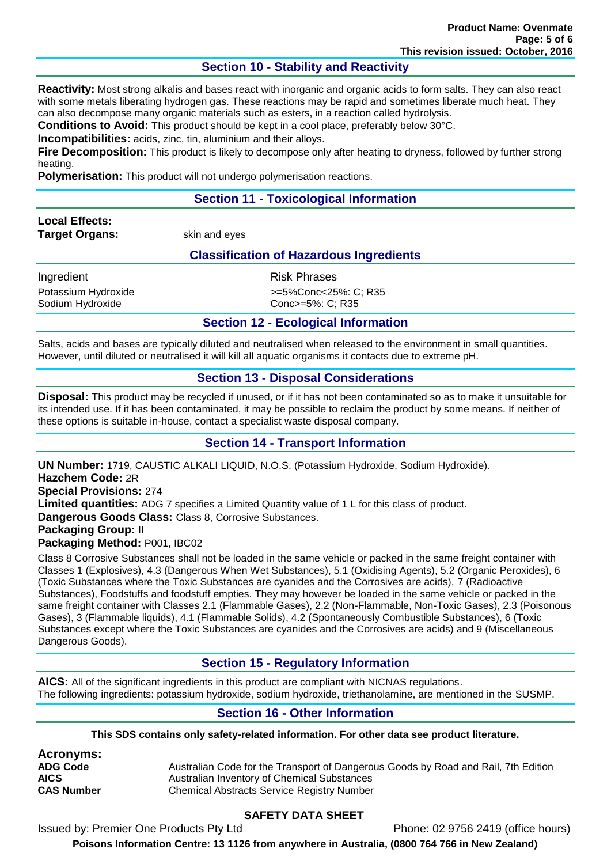# **Section 10 - Stability and Reactivity**

**Reactivity:** Most strong alkalis and bases react with inorganic and organic acids to form salts. They can also react with some metals liberating hydrogen gas. These reactions may be rapid and sometimes liberate much heat. They can also decompose many organic materials such as esters, in a reaction called hydrolysis.

**Conditions to Avoid:** This product should be kept in a cool place, preferably below 30°C.

**Incompatibilities:** acids, zinc, tin, aluminium and their alloys.

**Fire Decomposition:** This product is likely to decompose only after heating to dryness, followed by further strong heating.

**Polymerisation:** This product will not undergo polymerisation reactions.

# **Section 11 - Toxicological Information**

**Local Effects: Target Organs:** skin and eyes

#### **Classification of Hazardous Ingredients**

Ingredient **Risk Phrases** Sodium Hydroxide Conc>=5%: C; R35

Potassium Hydroxide  $\rightarrow$ =5%Conc<25%: C; R35

**Section 12 - Ecological Information**

Salts, acids and bases are typically diluted and neutralised when released to the environment in small quantities. However, until diluted or neutralised it will kill all aquatic organisms it contacts due to extreme pH.

#### **Section 13 - Disposal Considerations**

**Disposal:** This product may be recycled if unused, or if it has not been contaminated so as to make it unsuitable for its intended use. If it has been contaminated, it may be possible to reclaim the product by some means. If neither of these options is suitable in-house, contact a specialist waste disposal company.

#### **Section 14 - Transport Information**

**UN Number:** 1719, CAUSTIC ALKALI LIQUID, N.O.S. (Potassium Hydroxide, Sodium Hydroxide). **Hazchem Code:** 2R **Special Provisions:** 274 **Limited quantities:** ADG 7 specifies a Limited Quantity value of 1 L for this class of product. **Dangerous Goods Class:** Class 8, Corrosive Substances. **Packaging Group:** II **Packaging Method:** P001, IBC02

Class 8 Corrosive Substances shall not be loaded in the same vehicle or packed in the same freight container with Classes 1 (Explosives), 4.3 (Dangerous When Wet Substances), 5.1 (Oxidising Agents), 5.2 (Organic Peroxides), 6 (Toxic Substances where the Toxic Substances are cyanides and the Corrosives are acids), 7 (Radioactive Substances), Foodstuffs and foodstuff empties. They may however be loaded in the same vehicle or packed in the same freight container with Classes 2.1 (Flammable Gases), 2.2 (Non-Flammable, Non-Toxic Gases), 2.3 (Poisonous Gases), 3 (Flammable liquids), 4.1 (Flammable Solids), 4.2 (Spontaneously Combustible Substances), 6 (Toxic Substances except where the Toxic Substances are cyanides and the Corrosives are acids) and 9 (Miscellaneous Dangerous Goods).

#### **Section 15 - Regulatory Information**

**AICS:** All of the significant ingredients in this product are compliant with NICNAS regulations. The following ingredients: potassium hydroxide, sodium hydroxide, triethanolamine, are mentioned in the SUSMP.

#### **Section 16 - Other Information**

**This SDS contains only safety-related information. For other data see product literature.**

**Acronyms:**

**ADG Code** Australian Code for the Transport of Dangerous Goods by Road and Rail, 7th Edition **AICS** Australian Inventory of Chemical Substances<br> **CAS Number** Chemical Abstracts Service Registry Number **Chemical Abstracts Service Registry Number** 

# **SAFETY DATA SHEET**

Issued by: Premier One Products Pty Ltd Phone: 02 9756 2419 (office hours)

**Poisons Information Centre: 13 1126 from anywhere in Australia, (0800 764 766 in New Zealand)**